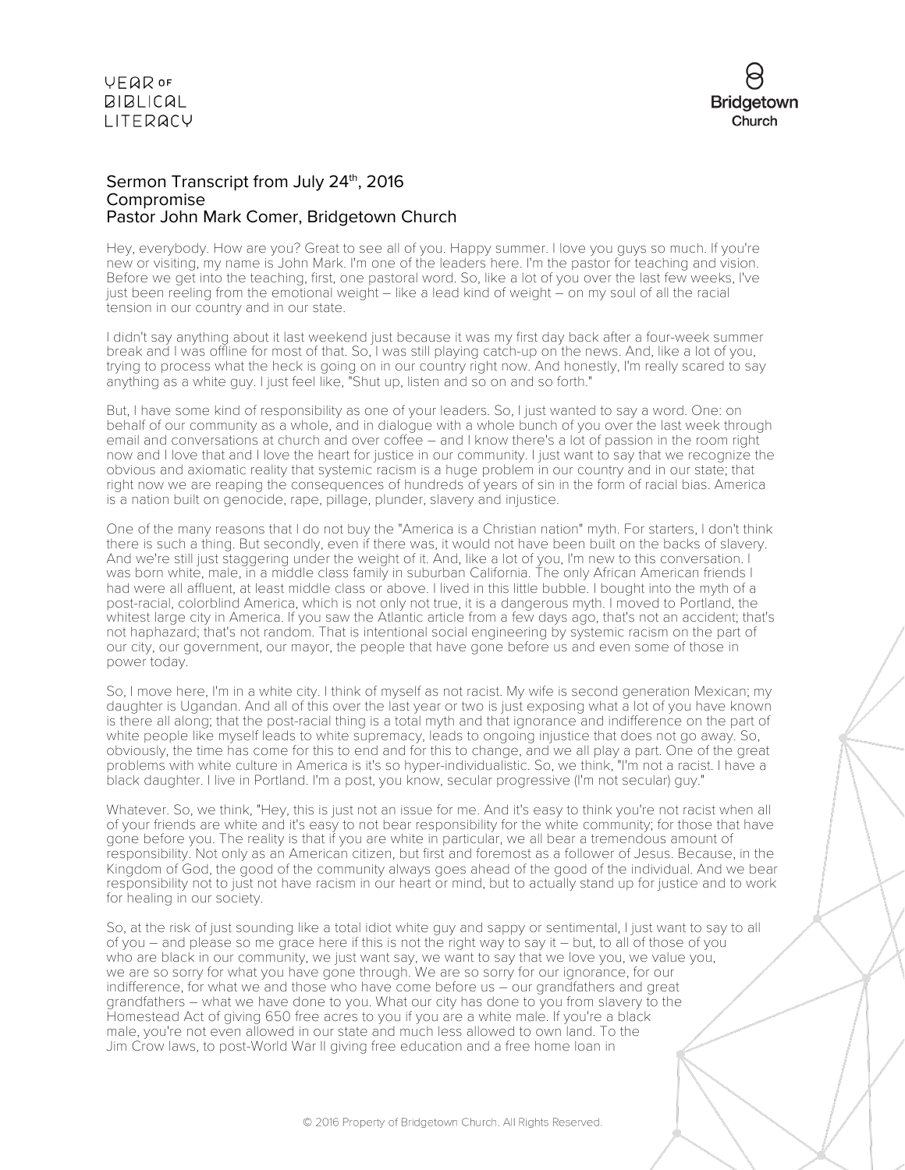

### Sermon Transcript from July 24<sup>th</sup>, 2016 Compromise Pastor John Mark Comer, Bridgetown Church

Hey, everybody. How are you? Great to see all of you. Happy summer. I love you guys so much. If you're new or visiting, my name is John Mark. I'm one of the leaders here. I'm the pastor for teaching and vision. Before we get into the teaching, first, one pastoral word. So, like a lot of you over the last few weeks, I've just been reeling from the emotional weight – like a lead kind of weight – on my soul of all the racial tension in our country and in our state.

I didn't say anything about it last weekend just because it was my first day back after a four-week summer break and I was offline for most of that. So, I was still playing catch-up on the news. And, like a lot of you, trying to process what the heck is going on in our country right now. And honestly, I'm really scared to say anything as a white guy. I just feel like, "Shut up, listen and so on and so forth."

But, I have some kind of responsibility as one of your leaders. So, I just wanted to say a word. One: on behalf of our community as a whole, and in dialogue with a whole bunch of you over the last week through email and conversations at church and over coffee – and I know there's a lot of passion in the room right now and I love that and I love the heart for justice in our community. I just want to say that we recognize the obvious and axiomatic reality that systemic racism is a huge problem in our country and in our state; that right now we are reaping the consequences of hundreds of years of sin in the form of racial bias. America is a nation built on genocide, rape, pillage, plunder, slavery and injustice.

One of the many reasons that I do not buy the "America is a Christian nation" myth. For starters, I don't think there is such a thing. But secondly, even if there was, it would not have been built on the backs of slavery. And we're still just staggering under the weight of it. And, like a lot of you, I'm new to this conversation. I was born white, male, in a middle class family in suburban California. The only African American friends I had were all affluent, at least middle class or above. I lived in this little bubble. I bought into the myth of a post-racial, colorblind America, which is not only not true, it is a dangerous myth. I moved to Portland, the whitest large city in America. If you saw the Atlantic article from a few days ago, that's not an accident; that's not haphazard; that's not random. That is intentional social engineering by systemic racism on the part of our city, our government, our mayor, the people that have gone before us and even some of those in power today.

So, I move here, I'm in a white city. I think of myself as not racist. My wife is second generation Mexican; my daughter is Ugandan. And all of this over the last year or two is just exposing what a lot of you have known is there all along; that the post-racial thing is a total myth and that ignorance and indifference on the part of white people like myself leads to white supremacy, leads to ongoing injustice that does not go away. So, obviously, the time has come for this to end and for this to change, and we all play a part. One of the great problems with white culture in America is it's so hyper-individualistic. So, we think, "I'm not a racist. I have a black daughter. I live in Portland. I'm a post, you know, secular progressive (I'm not secular) guy."

Whatever. So, we think, "Hey, this is just not an issue for me. And it's easy to think you're not racist when all of your friends are white and it's easy to not bear responsibility for the white community; for those that have gone before you. The reality is that if you are white in particular, we all bear a tremendous amount of responsibility. Not only as an American citizen, but first and foremost as a follower of Jesus. Because, in the Kingdom of God, the good of the community always goes ahead of the good of the individual. And we bear responsibility not to just not have racism in our heart or mind, but to actually stand up for justice and to work for healing in our society.

So, at the risk of just sounding like a total idiot white guy and sappy or sentimental, I just want to say to all of you – and please so me grace here if this is not the right way to say it – but, to all of those of you who are black in our community, we just want say, we want to say that we love you, we value you, we are so sorry for what you have gone through. We are so sorry for our ignorance, for our indifference, for what we and those who have come before us – our grandfathers and great grandfathers – what we have done to you. What our city has done to you from slavery to the Homestead Act of giving 650 free acres to you if you are a white male. If you're a black male, you're not even allowed in our state and much less allowed to own land. To the Jim Crow laws, to post-World War II giving free education and a free home loan in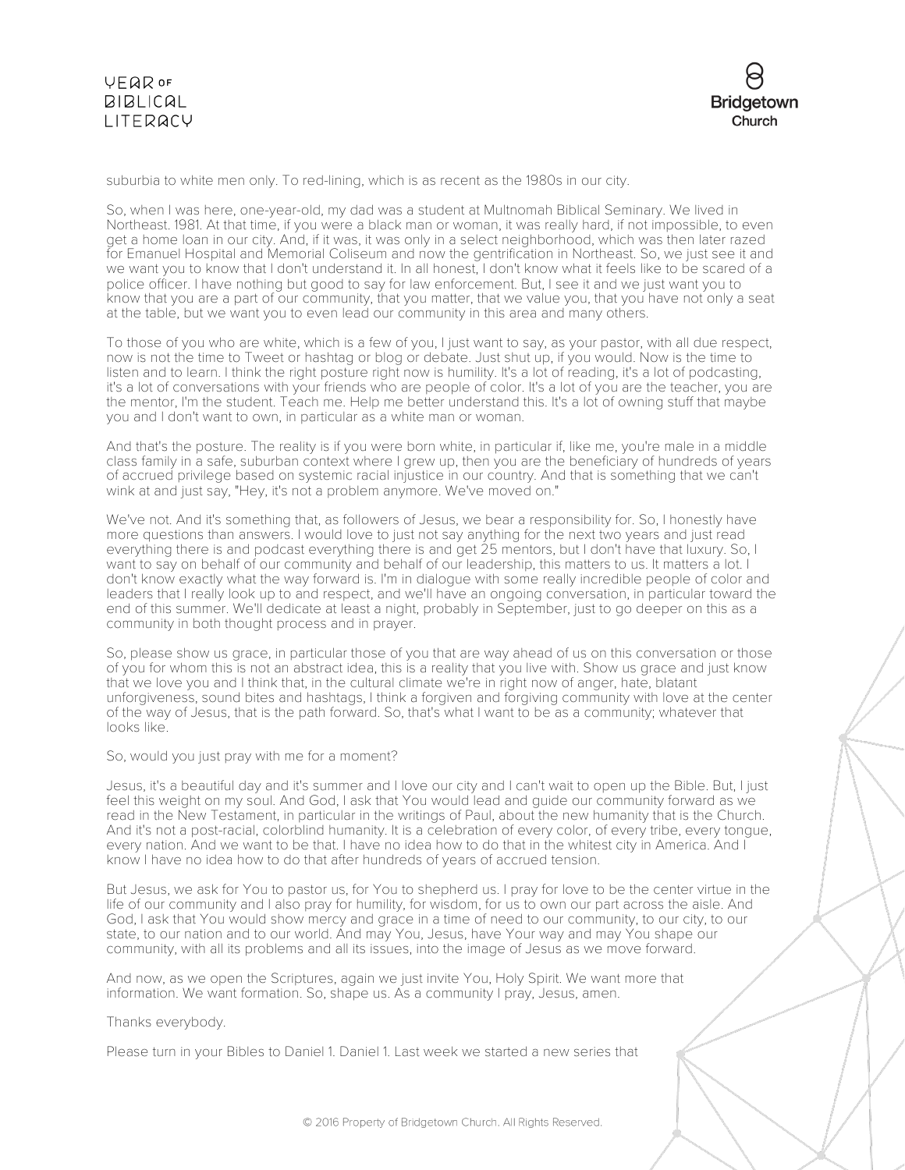

suburbia to white men only. To red-lining, which is as recent as the 1980s in our city.

So, when I was here, one-year-old, my dad was a student at Multnomah Biblical Seminary. We lived in Northeast. 1981. At that time, if you were a black man or woman, it was really hard, if not impossible, to even get a home loan in our city. And, if it was, it was only in a select neighborhood, which was then later razed for Emanuel Hospital and Memorial Coliseum and now the gentrification in Northeast. So, we just see it and we want you to know that I don't understand it. In all honest, I don't know what it feels like to be scared of a police officer. I have nothing but good to say for law enforcement. But, I see it and we just want you to know that you are a part of our community, that you matter, that we value you, that you have not only a seat at the table, but we want you to even lead our community in this area and many others.

To those of you who are white, which is a few of you, I just want to say, as your pastor, with all due respect, now is not the time to Tweet or hashtag or blog or debate. Just shut up, if you would. Now is the time to listen and to learn. I think the right posture right now is humility. It's a lot of reading, it's a lot of podcasting, it's a lot of conversations with your friends who are people of color. It's a lot of you are the teacher, you are the mentor, I'm the student. Teach me. Help me better understand this. It's a lot of owning stuff that maybe you and I don't want to own, in particular as a white man or woman.

And that's the posture. The reality is if you were born white, in particular if, like me, you're male in a middle class family in a safe, suburban context where I grew up, then you are the beneficiary of hundreds of years of accrued privilege based on systemic racial injustice in our country. And that is something that we can't wink at and just say, "Hey, it's not a problem anymore. We've moved on."

We've not. And it's something that, as followers of Jesus, we bear a responsibility for. So, I honestly have more questions than answers. I would love to just not say anything for the next two years and just read everything there is and podcast everything there is and get 25 mentors, but I don't have that luxury. So, I want to say on behalf of our community and behalf of our leadership, this matters to us. It matters a lot. I don't know exactly what the way forward is. I'm in dialogue with some really incredible people of color and leaders that I really look up to and respect, and we'll have an ongoing conversation, in particular toward the end of this summer. We'll dedicate at least a night, probably in September, just to go deeper on this as a community in both thought process and in prayer.

So, please show us grace, in particular those of you that are way ahead of us on this conversation or those of you for whom this is not an abstract idea, this is a reality that you live with. Show us grace and just know that we love you and I think that, in the cultural climate we're in right now of anger, hate, blatant unforgiveness, sound bites and hashtags, I think a forgiven and forgiving community with love at the center of the way of Jesus, that is the path forward. So, that's what I want to be as a community; whatever that looks like.

So, would you just pray with me for a moment?

Jesus, it's a beautiful day and it's summer and I love our city and I can't wait to open up the Bible. But, I just feel this weight on my soul. And God, I ask that You would lead and guide our community forward as we read in the New Testament, in particular in the writings of Paul, about the new humanity that is the Church. And it's not a post-racial, colorblind humanity. It is a celebration of every color, of every tribe, every tongue, every nation. And we want to be that. I have no idea how to do that in the whitest city in America. And I know I have no idea how to do that after hundreds of years of accrued tension.

But Jesus, we ask for You to pastor us, for You to shepherd us. I pray for love to be the center virtue in the life of our community and I also pray for humility, for wisdom, for us to own our part across the aisle. And God, I ask that You would show mercy and grace in a time of need to our community, to our city, to our state, to our nation and to our world. And may You, Jesus, have Your way and may You shape our community, with all its problems and all its issues, into the image of Jesus as we move forward.

And now, as we open the Scriptures, again we just invite You, Holy Spirit. We want more that information. We want formation. So, shape us. As a community I pray, Jesus, amen.

Thanks everybody.

Please turn in your Bibles to Daniel 1. Daniel 1. Last week we started a new series that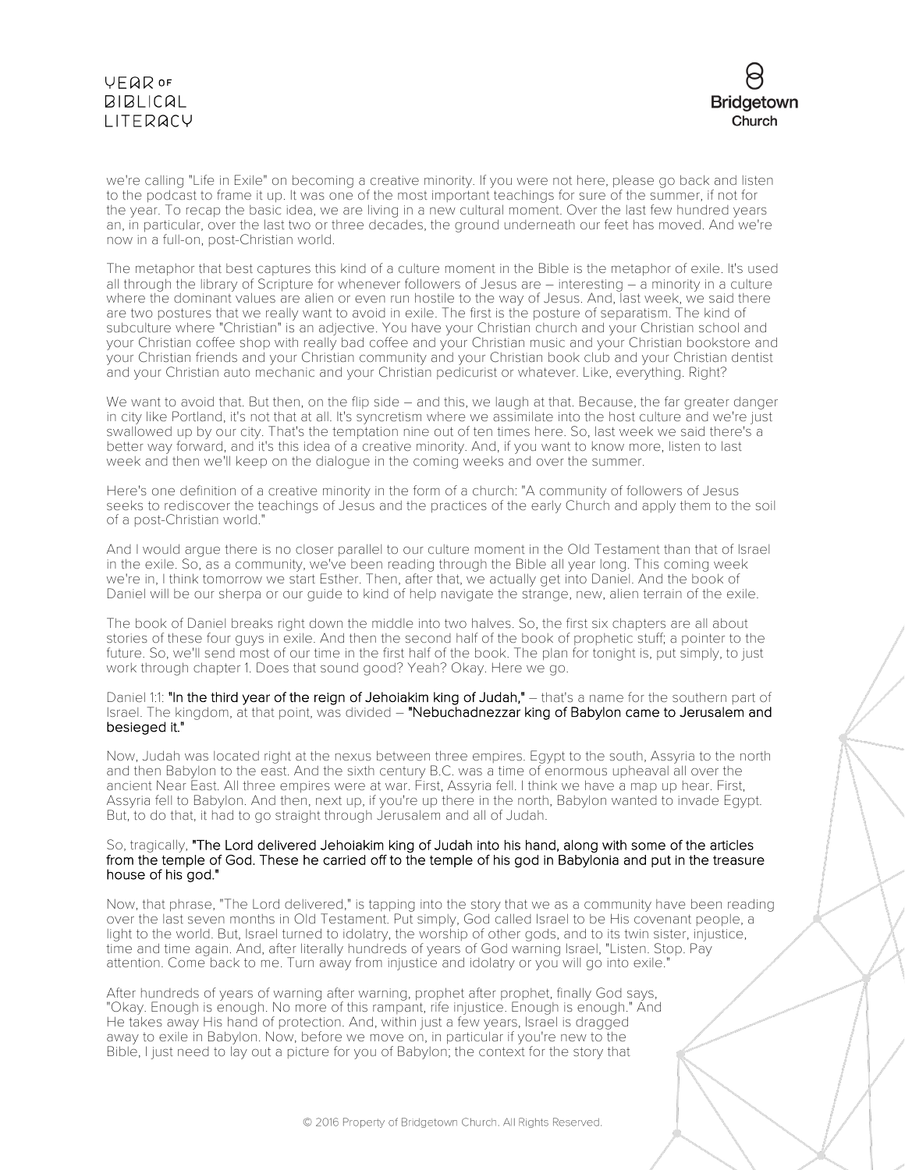# **VEQR OF**  $BIBLICAL$ LITERACY



we're calling "Life in Exile" on becoming a creative minority. If you were not here, please go back and listen to the podcast to frame it up. It was one of the most important teachings for sure of the summer, if not for the year. To recap the basic idea, we are living in a new cultural moment. Over the last few hundred years an, in particular, over the last two or three decades, the ground underneath our feet has moved. And we're now in a full-on, post-Christian world.

The metaphor that best captures this kind of a culture moment in the Bible is the metaphor of exile. It's used all through the library of Scripture for whenever followers of Jesus are – interesting – a minority in a culture where the dominant values are alien or even run hostile to the way of Jesus. And, last week, we said there are two postures that we really want to avoid in exile. The first is the posture of separatism. The kind of subculture where "Christian" is an adjective. You have your Christian church and your Christian school and your Christian coffee shop with really bad coffee and your Christian music and your Christian bookstore and your Christian friends and your Christian community and your Christian book club and your Christian dentist and your Christian auto mechanic and your Christian pedicurist or whatever. Like, everything. Right?

We want to avoid that. But then, on the flip side – and this, we laugh at that. Because, the far greater danger in city like Portland, it's not that at all. It's syncretism where we assimilate into the host culture and we're just swallowed up by our city. That's the temptation nine out of ten times here. So, last week we said there's a better way forward, and it's this idea of a creative minority. And, if you want to know more, listen to last week and then we'll keep on the dialogue in the coming weeks and over the summer.

Here's one definition of a creative minority in the form of a church: "A community of followers of Jesus seeks to rediscover the teachings of Jesus and the practices of the early Church and apply them to the soil of a post-Christian world."

And I would argue there is no closer parallel to our culture moment in the Old Testament than that of Israel in the exile. So, as a community, we've been reading through the Bible all year long. This coming week we're in, I think tomorrow we start Esther. Then, after that, we actually get into Daniel. And the book of Daniel will be our sherpa or our guide to kind of help navigate the strange, new, alien terrain of the exile.

The book of Daniel breaks right down the middle into two halves. So, the first six chapters are all about stories of these four guys in exile. And then the second half of the book of prophetic stuff; a pointer to the future. So, we'll send most of our time in the first half of the book. The plan for tonight is, put simply, to just work through chapter 1. Does that sound good? Yeah? Okay. Here we go.

Daniel 1:1: "In the third year of the reign of Jehoiakim king of Judah," – that's a name for the southern part of Israel. The kingdom, at that point, was divided - "Nebuchadnezzar king of Babylon came to Jerusalem and besieged it."

Now, Judah was located right at the nexus between three empires. Egypt to the south, Assyria to the north and then Babylon to the east. And the sixth century B.C. was a time of enormous upheaval all over the ancient Near East. All three empires were at war. First, Assyria fell. I think we have a map up hear. First, Assyria fell to Babylon. And then, next up, if you're up there in the north, Babylon wanted to invade Egypt. But, to do that, it had to go straight through Jerusalem and all of Judah.

#### So, tragically, "The Lord delivered Jehoiakim king of Judah into his hand, along with some of the articles from the temple of God. These he carried off to the temple of his god in Babylonia and put in the treasure house of his god."

Now, that phrase, "The Lord delivered," is tapping into the story that we as a community have been reading over the last seven months in Old Testament. Put simply, God called Israel to be His covenant people, a light to the world. But, Israel turned to idolatry, the worship of other gods, and to its twin sister, injustice, time and time again. And, after literally hundreds of years of God warning Israel, "Listen. Stop. Pay attention. Come back to me. Turn away from injustice and idolatry or you will go into exile."

After hundreds of years of warning after warning, prophet after prophet, finally God says, "Okay. Enough is enough. No more of this rampant, rife injustice. Enough is enough." And He takes away His hand of protection. And, within just a few years, Israel is dragged away to exile in Babylon. Now, before we move on, in particular if you're new to the Bible, I just need to lay out a picture for you of Babylon; the context for the story that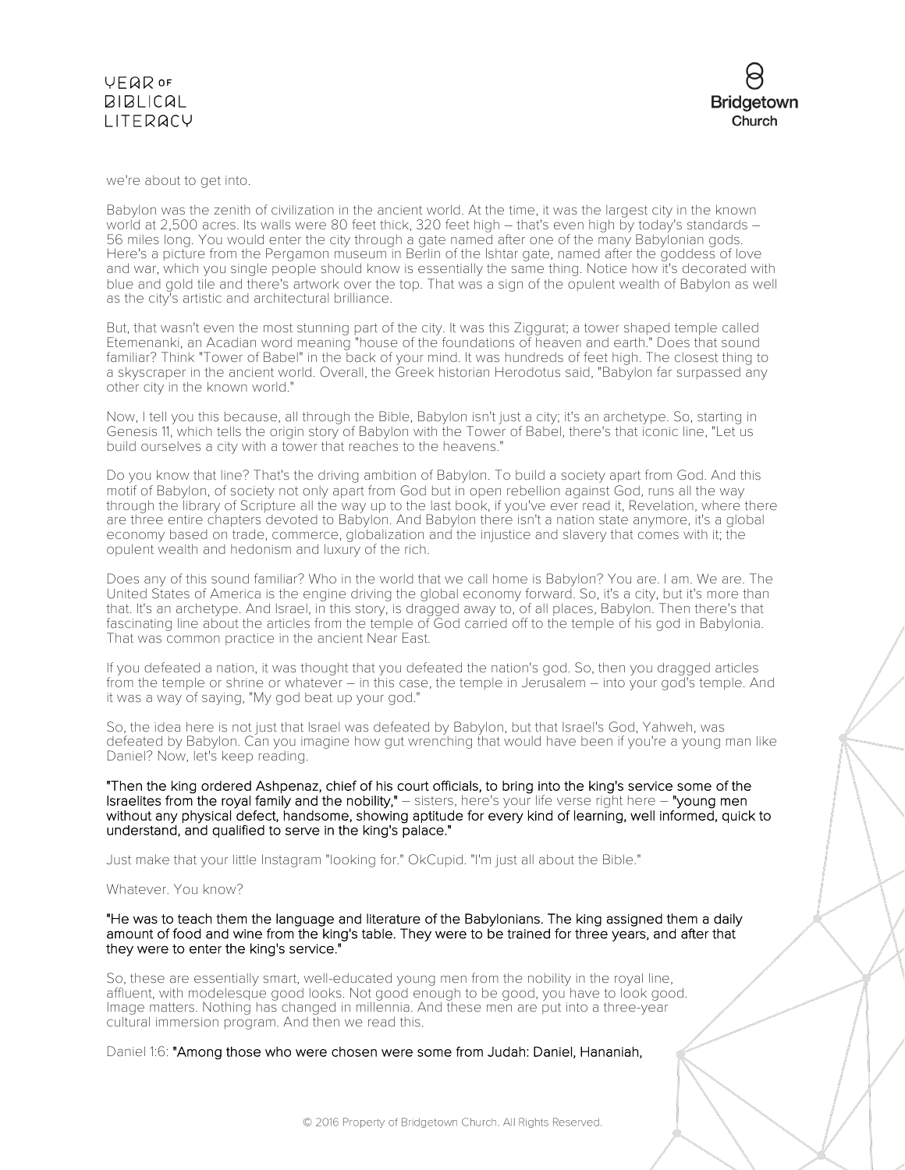### **VFQR OF BIBLICAL** LITERACY



we're about to get into.

Babylon was the zenith of civilization in the ancient world. At the time, it was the largest city in the known world at 2,500 acres. Its walls were 80 feet thick, 320 feet high – that's even high by today's standards – 56 miles long. You would enter the city through a gate named after one of the many Babylonian gods. Here's a picture from the Pergamon museum in Berlin of the Ishtar gate, named after the goddess of love and war, which you single people should know is essentially the same thing. Notice how it's decorated with blue and gold tile and there's artwork over the top. That was a sign of the opulent wealth of Babylon as well as the city's artistic and architectural brilliance.

But, that wasn't even the most stunning part of the city. It was this Ziggurat; a tower shaped temple called Etemenanki, an Acadian word meaning "house of the foundations of heaven and earth." Does that sound familiar? Think "Tower of Babel" in the back of your mind. It was hundreds of feet high. The closest thing to a skyscraper in the ancient world. Overall, the Greek historian Herodotus said, "Babylon far surpassed any other city in the known world."

Now, I tell you this because, all through the Bible, Babylon isn't just a city; it's an archetype. So, starting in Genesis 11, which tells the origin story of Babylon with the Tower of Babel, there's that iconic line, "Let us build ourselves a city with a tower that reaches to the heavens."

Do you know that line? That's the driving ambition of Babylon. To build a society apart from God. And this motif of Babylon, of society not only apart from God but in open rebellion against God, runs all the way through the library of Scripture all the way up to the last book, if you've ever read it, Revelation, where there are three entire chapters devoted to Babylon. And Babylon there isn't a nation state anymore, it's a global economy based on trade, commerce, globalization and the injustice and slavery that comes with it; the opulent wealth and hedonism and luxury of the rich.

Does any of this sound familiar? Who in the world that we call home is Babylon? You are. I am. We are. The United States of America is the engine driving the global economy forward. So, it's a city, but it's more than that. It's an archetype. And Israel, in this story, is dragged away to, of all places, Babylon. Then there's that fascinating line about the articles from the temple of God carried off to the temple of his god in Babylonia. That was common practice in the ancient Near East.

If you defeated a nation, it was thought that you defeated the nation's god. So, then you dragged articles from the temple or shrine or whatever – in this case, the temple in Jerusalem – into your god's temple. And it was a way of saying, "My god beat up your god."

So, the idea here is not just that Israel was defeated by Babylon, but that Israel's God, Yahweh, was defeated by Babylon. Can you imagine how gut wrenching that would have been if you're a young man like Daniel? Now, let's keep reading.

"Then the king ordered Ashpenaz, chief of his court officials, to bring into the king's service some of the Israelites from the royal family and the nobility," – sisters, here's your life verse right here – "young men without any physical defect, handsome, showing aptitude for every kind of learning, well informed, quick to understand, and qualified to serve in the king's palace."

Just make that your little Instagram "looking for." OkCupid. "I'm just all about the Bible."

Whatever. You know?

"He was to teach them the language and literature of the Babylonians. The king assigned them a daily amount of food and wine from the king's table. They were to be trained for three years, and after that they were to enter the king's service."

So, these are essentially smart, well-educated young men from the nobility in the royal line, affluent, with modelesque good looks. Not good enough to be good, you have to look good. Image matters. Nothing has changed in millennia. And these men are put into a three-year cultural immersion program. And then we read this.

Daniel 1:6: "Among those who were chosen were some from Judah: Daniel, Hananiah,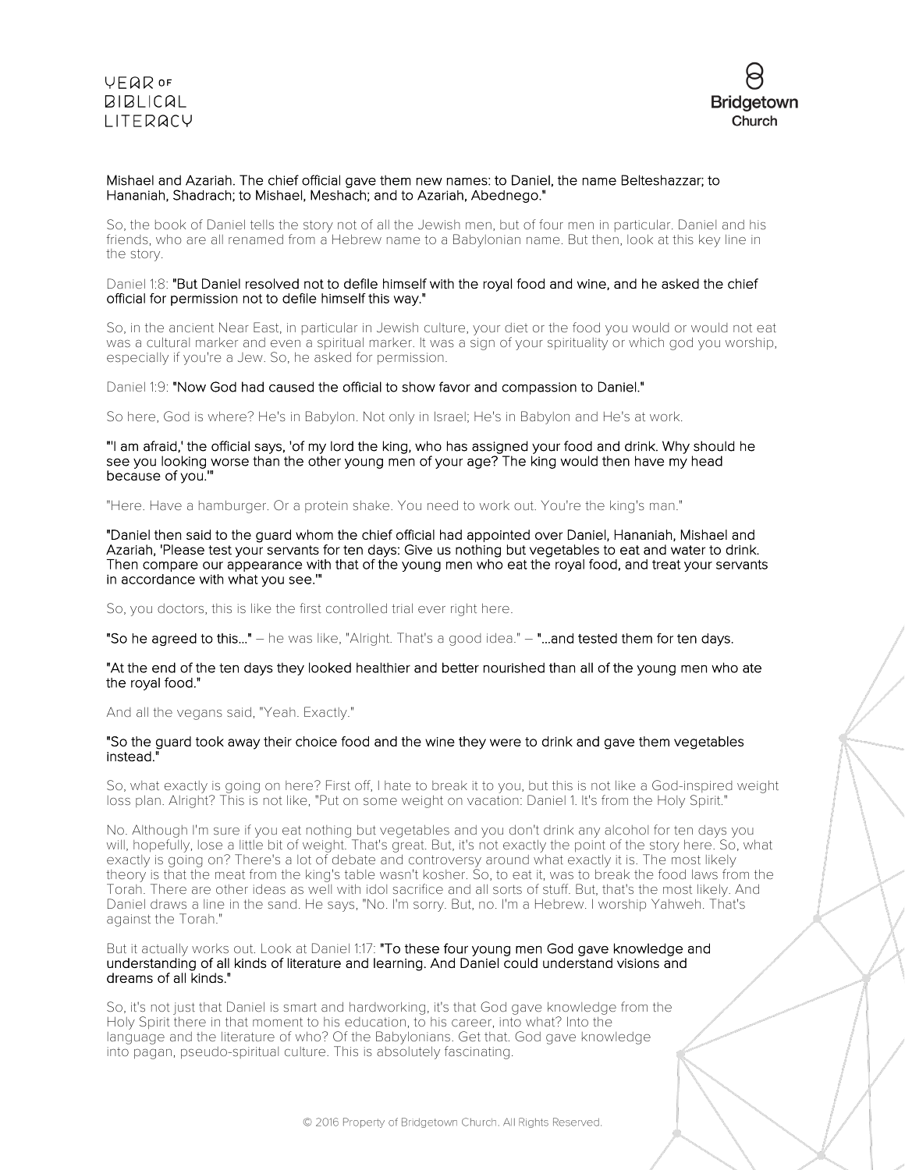**VEQR OF BIBLICAL** LITERACY



### Mishael and Azariah. The chief official gave them new names: to Daniel, the name Belteshazzar; to Hananiah, Shadrach; to Mishael, Meshach; and to Azariah, Abednego."

So, the book of Daniel tells the story not of all the Jewish men, but of four men in particular. Daniel and his friends, who are all renamed from a Hebrew name to a Babylonian name. But then, look at this key line in the story.

### Daniel 1:8: "But Daniel resolved not to defile himself with the royal food and wine, and he asked the chief official for permission not to defile himself this way."

So, in the ancient Near East, in particular in Jewish culture, your diet or the food you would or would not eat was a cultural marker and even a spiritual marker. It was a sign of your spirituality or which god you worship, especially if you're a Jew. So, he asked for permission.

### Daniel 1:9: "Now God had caused the official to show favor and compassion to Daniel."

So here, God is where? He's in Babylon. Not only in Israel; He's in Babylon and He's at work.

"'I am afraid,' the official says, 'of my lord the king, who has assigned your food and drink. Why should he see you looking worse than the other young men of your age? The king would then have my head because of you."

### "Here. Have a hamburger. Or a protein shake. You need to work out. You're the king's man."

"Daniel then said to the guard whom the chief official had appointed over Daniel, Hananiah, Mishael and Azariah, 'Please test your servants for ten days: Give us nothing but vegetables to eat and water to drink. Then compare our appearance with that of the young men who eat the royal food, and treat your servants in accordance with what you see.'"

So, you doctors, this is like the first controlled trial ever right here.

"So he agreed to this..." – he was like, "Alright. That's a good idea." – "...and tested them for ten days.

#### "At the end of the ten days they looked healthier and better nourished than all of the young men who ate the royal food."

And all the vegans said, "Yeah. Exactly."

### "So the guard took away their choice food and the wine they were to drink and gave them vegetables instead."

So, what exactly is going on here? First off, I hate to break it to you, but this is not like a God-inspired weight loss plan. Alright? This is not like, "Put on some weight on vacation: Daniel 1. It's from the Holy Spirit."

No. Although I'm sure if you eat nothing but vegetables and you don't drink any alcohol for ten days you will, hopefully, lose a little bit of weight. That's great. But, it's not exactly the point of the story here. So, what exactly is going on? There's a lot of debate and controversy around what exactly it is. The most likely theory is that the meat from the king's table wasn't kosher. So, to eat it, was to break the food laws from the Torah. There are other ideas as well with idol sacrifice and all sorts of stuff. But, that's the most likely. And Daniel draws a line in the sand. He says, "No. I'm sorry. But, no. I'm a Hebrew. I worship Yahweh. That's against the Torah."

But it actually works out. Look at Daniel 1:17: "To these four young men God gave knowledge and understanding of all kinds of literature and learning. And Daniel could understand visions and dreams of all kinds."

So, it's not just that Daniel is smart and hardworking, it's that God gave knowledge from the Holy Spirit there in that moment to his education, to his career, into what? Into the language and the literature of who? Of the Babylonians. Get that. God gave knowledge into pagan, pseudo-spiritual culture. This is absolutely fascinating.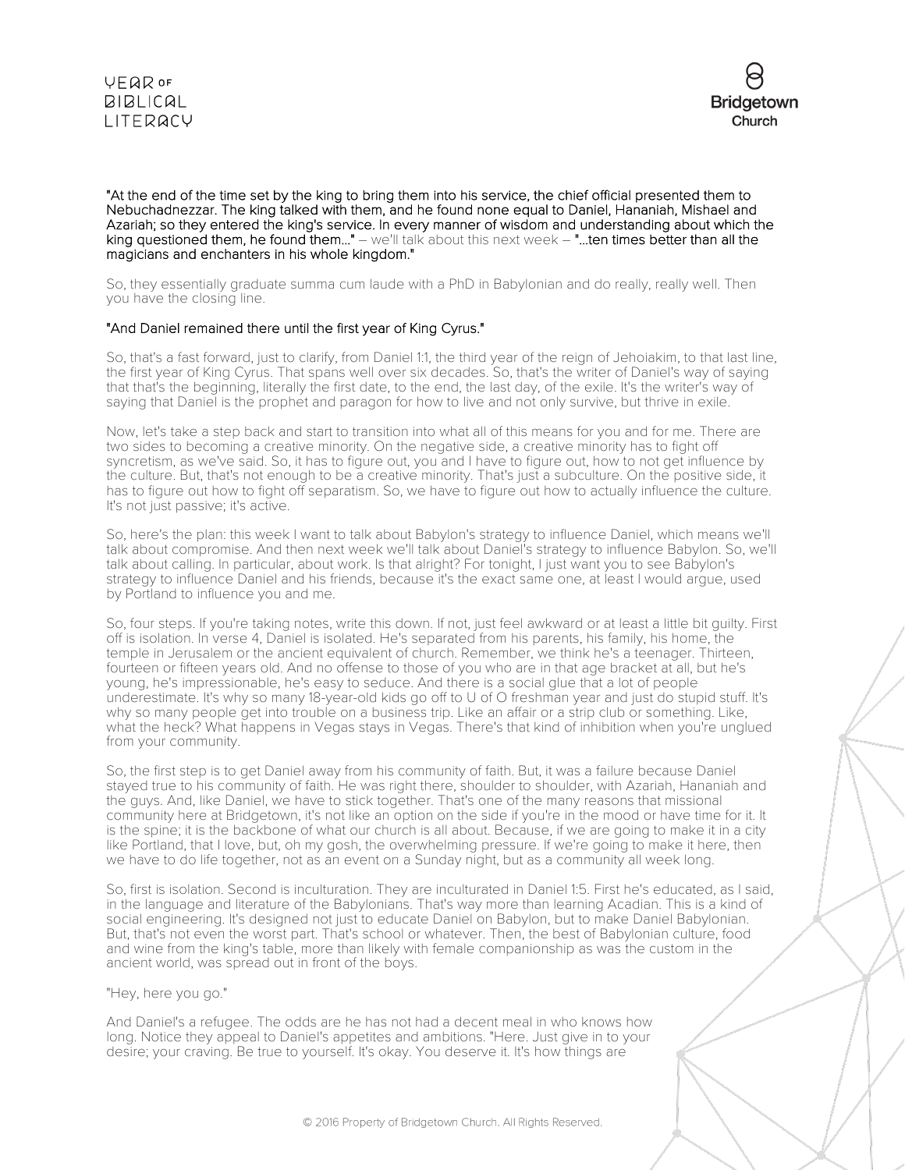



"At the end of the time set by the king to bring them into his service, the chief official presented them to Nebuchadnezzar. The king talked with them, and he found none equal to Daniel, Hananiah, Mishael and Azariah; so they entered the king's service. In every manner of wisdom and understanding about which the king questioned them, he found them..." – we'll talk about this next week – "...ten times better than all the magicians and enchanters in his whole kingdom."

So, they essentially graduate summa cum laude with a PhD in Babylonian and do really, really well. Then you have the closing line.

### "And Daniel remained there until the first year of King Cyrus."

So, that's a fast forward, just to clarify, from Daniel 1:1, the third year of the reign of Jehoiakim, to that last line, the first year of King Cyrus. That spans well over six decades. So, that's the writer of Daniel's way of saying that that's the beginning, literally the first date, to the end, the last day, of the exile. It's the writer's way of saying that Daniel is the prophet and paragon for how to live and not only survive, but thrive in exile.

Now, let's take a step back and start to transition into what all of this means for you and for me. There are two sides to becoming a creative minority. On the negative side, a creative minority has to fight off syncretism, as we've said. So, it has to figure out, you and I have to figure out, how to not get influence by the culture. But, that's not enough to be a creative minority. That's just a subculture. On the positive side, it has to figure out how to fight off separatism. So, we have to figure out how to actually influence the culture. It's not just passive; it's active.

So, here's the plan: this week I want to talk about Babylon's strategy to influence Daniel, which means we'll talk about compromise. And then next week we'll talk about Daniel's strategy to influence Babylon. So, we'll talk about calling. In particular, about work. Is that alright? For tonight, I just want you to see Babylon's strategy to influence Daniel and his friends, because it's the exact same one, at least I would argue, used by Portland to influence you and me.

So, four steps. If you're taking notes, write this down. If not, just feel awkward or at least a little bit guilty. First off is isolation. In verse 4, Daniel is isolated. He's separated from his parents, his family, his home, the temple in Jerusalem or the ancient equivalent of church. Remember, we think he's a teenager. Thirteen, fourteen or fifteen years old. And no offense to those of you who are in that age bracket at all, but he's young, he's impressionable, he's easy to seduce. And there is a social glue that a lot of people underestimate. It's why so many 18-year-old kids go off to U of O freshman year and just do stupid stuff. It's why so many people get into trouble on a business trip. Like an affair or a strip club or something. Like, what the heck? What happens in Vegas stays in Vegas. There's that kind of inhibition when you're unglued from your community.

So, the first step is to get Daniel away from his community of faith. But, it was a failure because Daniel stayed true to his community of faith. He was right there, shoulder to shoulder, with Azariah, Hananiah and the guys. And, like Daniel, we have to stick together. That's one of the many reasons that missional community here at Bridgetown, it's not like an option on the side if you're in the mood or have time for it. It is the spine; it is the backbone of what our church is all about. Because, if we are going to make it in a city like Portland, that I love, but, oh my gosh, the overwhelming pressure. If we're going to make it here, then we have to do life together, not as an event on a Sunday night, but as a community all week long.

So, first is isolation. Second is inculturation. They are inculturated in Daniel 1:5. First he's educated, as I said, in the language and literature of the Babylonians. That's way more than learning Acadian. This is a kind of social engineering. It's designed not just to educate Daniel on Babylon, but to make Daniel Babylonian. But, that's not even the worst part. That's school or whatever. Then, the best of Babylonian culture, food and wine from the king's table, more than likely with female companionship as was the custom in the ancient world, was spread out in front of the boys.

"Hey, here you go."

And Daniel's a refugee. The odds are he has not had a decent meal in who knows how long. Notice they appeal to Daniel's appetites and ambitions. "Here. Just give in to your desire; your craving. Be true to yourself. It's okay. You deserve it. It's how things are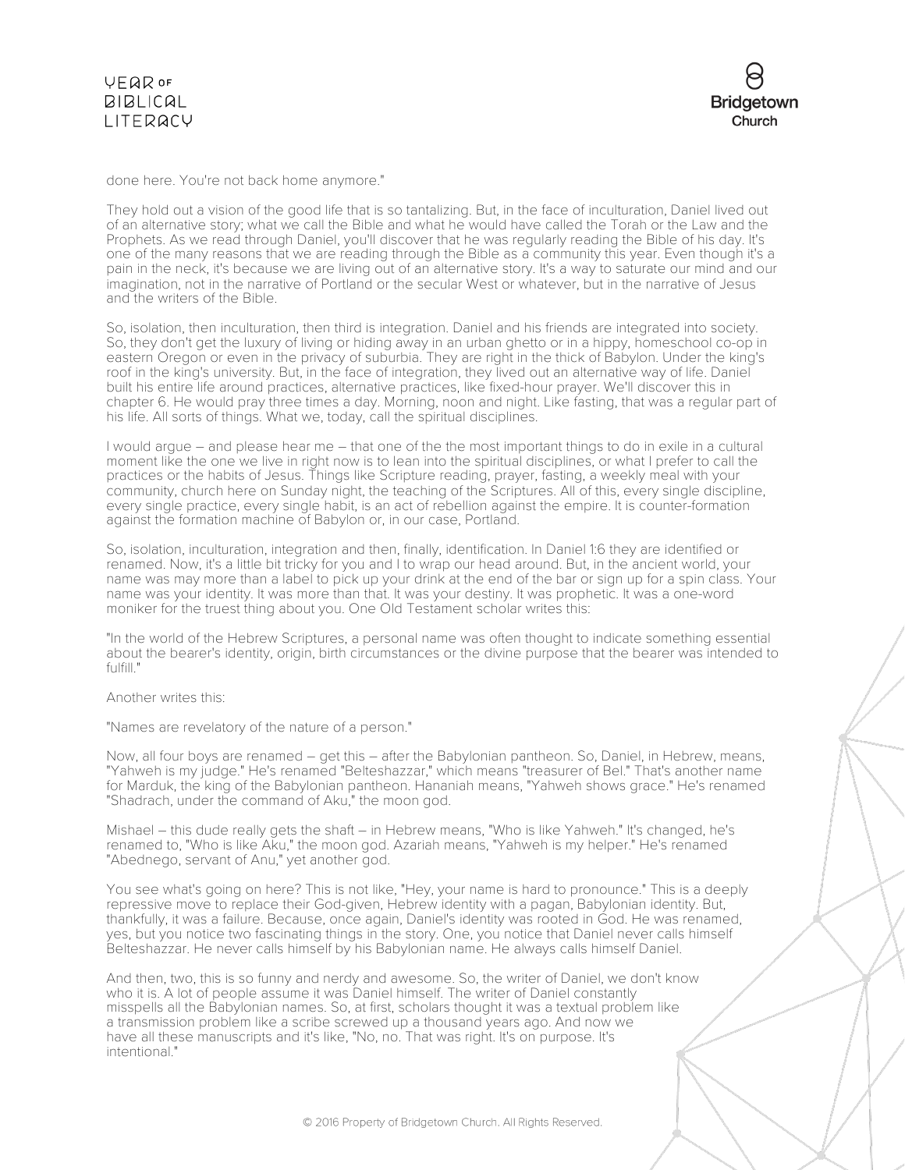done here. You're not back home anymore."

They hold out a vision of the good life that is so tantalizing. But, in the face of inculturation, Daniel lived out of an alternative story; what we call the Bible and what he would have called the Torah or the Law and the Prophets. As we read through Daniel, you'll discover that he was regularly reading the Bible of his day. It's one of the many reasons that we are reading through the Bible as a community this year. Even though it's a pain in the neck, it's because we are living out of an alternative story. It's a way to saturate our mind and our imagination, not in the narrative of Portland or the secular West or whatever, but in the narrative of Jesus and the writers of the Bible.

So, isolation, then inculturation, then third is integration. Daniel and his friends are integrated into society. So, they don't get the luxury of living or hiding away in an urban ghetto or in a hippy, homeschool co-op in eastern Oregon or even in the privacy of suburbia. They are right in the thick of Babylon. Under the king's roof in the king's university. But, in the face of integration, they lived out an alternative way of life. Daniel built his entire life around practices, alternative practices, like fixed-hour prayer. We'll discover this in chapter 6. He would pray three times a day. Morning, noon and night. Like fasting, that was a regular part of his life. All sorts of things. What we, today, call the spiritual disciplines.

I would argue – and please hear me – that one of the the most important things to do in exile in a cultural moment like the one we live in right now is to lean into the spiritual disciplines, or what I prefer to call the practices or the habits of Jesus. Things like Scripture reading, prayer, fasting, a weekly meal with your community, church here on Sunday night, the teaching of the Scriptures. All of this, every single discipline, every single practice, every single habit, is an act of rebellion against the empire. It is counter-formation against the formation machine of Babylon or, in our case, Portland.

So, isolation, inculturation, integration and then, finally, identification. In Daniel 1:6 they are identified or renamed. Now, it's a little bit tricky for you and I to wrap our head around. But, in the ancient world, your name was may more than a label to pick up your drink at the end of the bar or sign up for a spin class. Your name was your identity. It was more than that. It was your destiny. It was prophetic. It was a one-word moniker for the truest thing about you. One Old Testament scholar writes this:

"In the world of the Hebrew Scriptures, a personal name was often thought to indicate something essential about the bearer's identity, origin, birth circumstances or the divine purpose that the bearer was intended to fulfill."

Another writes this:

"Names are revelatory of the nature of a person."

Now, all four boys are renamed – get this – after the Babylonian pantheon. So, Daniel, in Hebrew, means, "Yahweh is my judge." He's renamed "Belteshazzar," which means "treasurer of Bel." That's another name for Marduk, the king of the Babylonian pantheon. Hananiah means, "Yahweh shows grace." He's renamed "Shadrach, under the command of Aku," the moon god.

Mishael – this dude really gets the shaft – in Hebrew means, "Who is like Yahweh." It's changed, he's renamed to, "Who is like Aku," the moon god. Azariah means, "Yahweh is my helper." He's renamed "Abednego, servant of Anu," yet another god.

You see what's going on here? This is not like, "Hey, your name is hard to pronounce." This is a deeply repressive move to replace their God-given, Hebrew identity with a pagan, Babylonian identity. But, thankfully, it was a failure. Because, once again, Daniel's identity was rooted in God. He was renamed, yes, but you notice two fascinating things in the story. One, you notice that Daniel never calls himself Belteshazzar. He never calls himself by his Babylonian name. He always calls himself Daniel.

And then, two, this is so funny and nerdy and awesome. So, the writer of Daniel, we don't know who it is. A lot of people assume it was Daniel himself. The writer of Daniel constantly misspells all the Babylonian names. So, at first, scholars thought it was a textual problem like a transmission problem like a scribe screwed up a thousand years ago. And now we have all these manuscripts and it's like, "No, no. That was right. It's on purpose. It's intentional."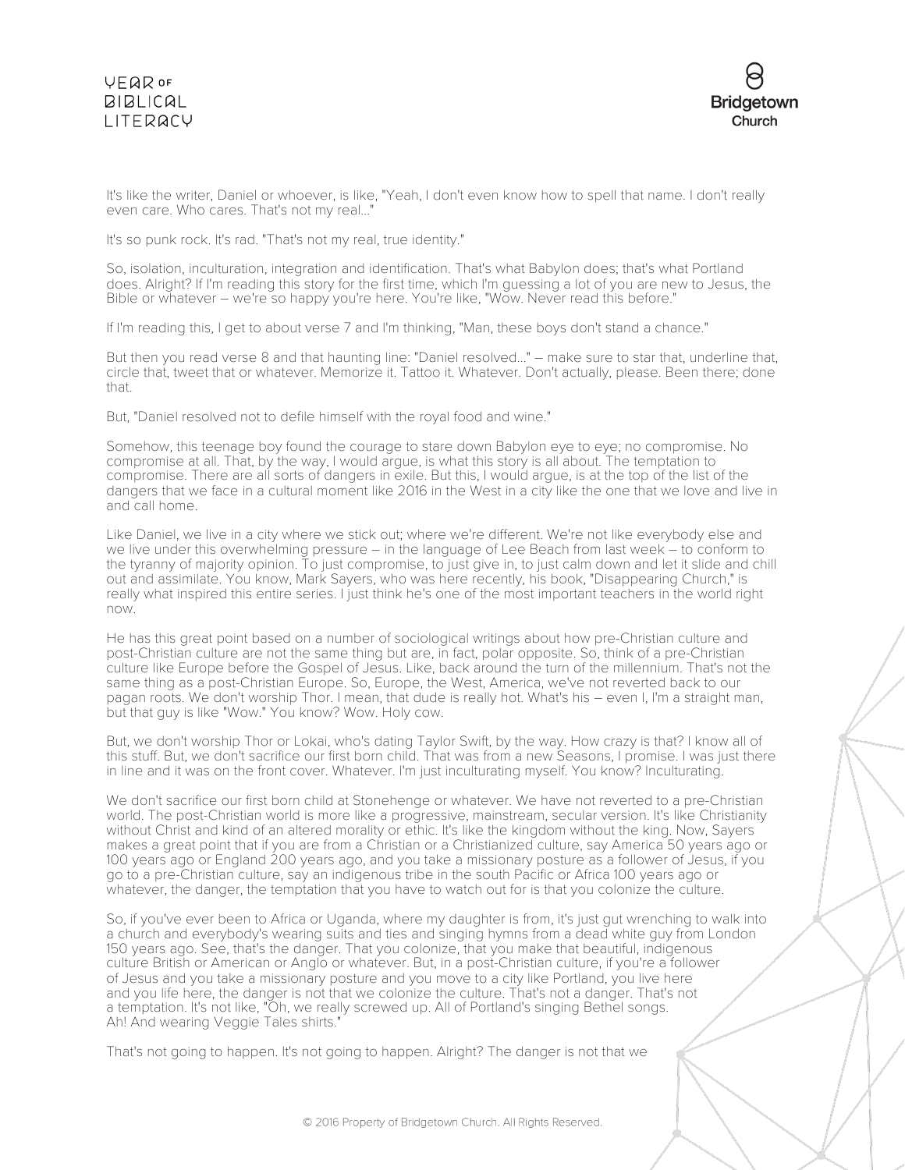# **VEQR OF BIBLICAL** LITERACY



It's like the writer, Daniel or whoever, is like, "Yeah, I don't even know how to spell that name. I don't really even care. Who cares. That's not my real...'

It's so punk rock. It's rad. "That's not my real, true identity."

So, isolation, inculturation, integration and identification. That's what Babylon does; that's what Portland does. Alright? If I'm reading this story for the first time, which I'm guessing a lot of you are new to Jesus, the Bible or whatever – we're so happy you're here. You're like, "Wow. Never read this before."

If I'm reading this, I get to about verse 7 and I'm thinking, "Man, these boys don't stand a chance."

But then you read verse 8 and that haunting line: "Daniel resolved..." – make sure to star that, underline that, circle that, tweet that or whatever. Memorize it. Tattoo it. Whatever. Don't actually, please. Been there; done that.

But, "Daniel resolved not to defile himself with the royal food and wine."

Somehow, this teenage boy found the courage to stare down Babylon eye to eye; no compromise. No compromise at all. That, by the way, I would argue, is what this story is all about. The temptation to compromise. There are all sorts of dangers in exile. But this, I would argue, is at the top of the list of the dangers that we face in a cultural moment like 2016 in the West in a city like the one that we love and live in and call home.

Like Daniel, we live in a city where we stick out; where we're different. We're not like everybody else and we live under this overwhelming pressure – in the language of Lee Beach from last week – to conform to the tyranny of majority opinion. To just compromise, to just give in, to just calm down and let it slide and chill out and assimilate. You know, Mark Sayers, who was here recently, his book, "Disappearing Church," is really what inspired this entire series. I just think he's one of the most important teachers in the world right now.

He has this great point based on a number of sociological writings about how pre-Christian culture and post-Christian culture are not the same thing but are, in fact, polar opposite. So, think of a pre-Christian culture like Europe before the Gospel of Jesus. Like, back around the turn of the millennium. That's not the same thing as a post-Christian Europe. So, Europe, the West, America, we've not reverted back to our pagan roots. We don't worship Thor. I mean, that dude is really hot. What's his – even I, I'm a straight man, but that guy is like "Wow." You know? Wow. Holy cow.

But, we don't worship Thor or Lokai, who's dating Taylor Swift, by the way. How crazy is that? I know all of this stuff. But, we don't sacrifice our first born child. That was from a new Seasons, I promise. I was just there in line and it was on the front cover. Whatever. I'm just inculturating myself. You know? Inculturating.

We don't sacrifice our first born child at Stonehenge or whatever. We have not reverted to a pre-Christian world. The post-Christian world is more like a progressive, mainstream, secular version. It's like Christianity without Christ and kind of an altered morality or ethic. It's like the kingdom without the king. Now, Sayers makes a great point that if you are from a Christian or a Christianized culture, say America 50 years ago or 100 years ago or England 200 years ago, and you take a missionary posture as a follower of Jesus, if you go to a pre-Christian culture, say an indigenous tribe in the south Pacific or Africa 100 years ago or whatever, the danger, the temptation that you have to watch out for is that you colonize the culture.

So, if you've ever been to Africa or Uganda, where my daughter is from, it's just gut wrenching to walk into a church and everybody's wearing suits and ties and singing hymns from a dead white guy from London 150 years ago. See, that's the danger. That you colonize, that you make that beautiful, indigenous culture British or American or Anglo or whatever. But, in a post-Christian culture, if you're a follower of Jesus and you take a missionary posture and you move to a city like Portland, you live here and you life here, the danger is not that we colonize the culture. That's not a danger. That's not a temptation. It's not like, "Oh, we really screwed up. All of Portland's singing Bethel songs. Ah! And wearing Veggie Tales shirts."

That's not going to happen. It's not going to happen. Alright? The danger is not that we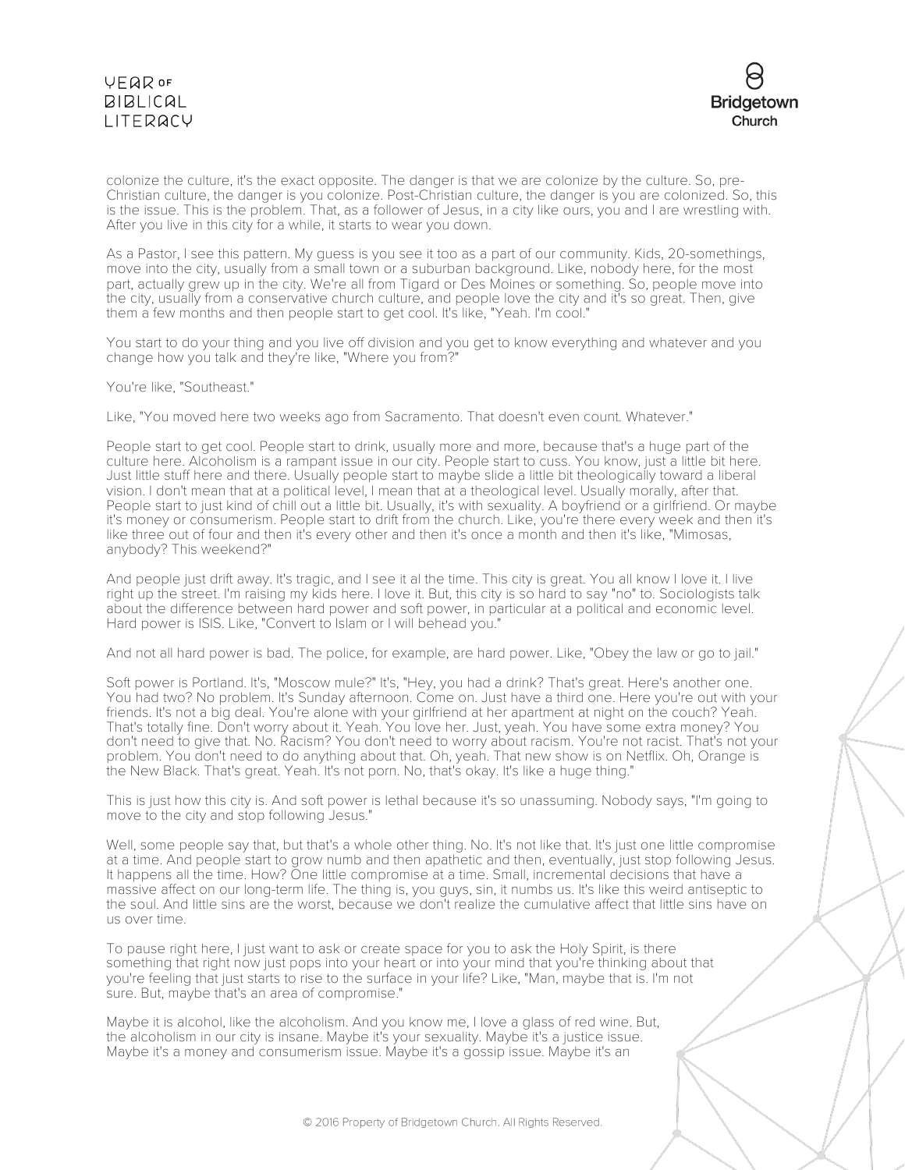

colonize the culture, it's the exact opposite. The danger is that we are colonize by the culture. So, pre-Christian culture, the danger is you colonize. Post-Christian culture, the danger is you are colonized. So, this is the issue. This is the problem. That, as a follower of Jesus, in a city like ours, you and I are wrestling with. After you live in this city for a while, it starts to wear you down.

As a Pastor, I see this pattern. My guess is you see it too as a part of our community. Kids, 20-somethings, move into the city, usually from a small town or a suburban background. Like, nobody here, for the most part, actually grew up in the city. We're all from Tigard or Des Moines or something. So, people move into the city, usually from a conservative church culture, and people love the city and it's so great. Then, give them a few months and then people start to get cool. It's like, "Yeah. I'm cool."

You start to do your thing and you live off division and you get to know everything and whatever and you change how you talk and they're like, "Where you from?"

You're like, "Southeast."

Like, "You moved here two weeks ago from Sacramento. That doesn't even count. Whatever."

People start to get cool. People start to drink, usually more and more, because that's a huge part of the culture here. Alcoholism is a rampant issue in our city. People start to cuss. You know, just a little bit here. Just little stuff here and there. Usually people start to maybe slide a little bit theologically toward a liberal vision. I don't mean that at a political level, I mean that at a theological level. Usually morally, after that. People start to just kind of chill out a little bit. Usually, it's with sexuality. A boyfriend or a girlfriend. Or maybe it's money or consumerism. People start to drift from the church. Like, you're there every week and then it's like three out of four and then it's every other and then it's once a month and then it's like, "Mimosas, anybody? This weekend?"

And people just drift away. It's tragic, and I see it al the time. This city is great. You all know I love it. I live right up the street. I'm raising my kids here. I love it. But, this city is so hard to say "no" to. Sociologists talk about the difference between hard power and soft power, in particular at a political and economic level. Hard power is ISIS. Like, "Convert to Islam or I will behead you."

And not all hard power is bad. The police, for example, are hard power. Like, "Obey the law or go to jail."

Soft power is Portland. It's, "Moscow mule?" It's, "Hey, you had a drink? That's great. Here's another one. You had two? No problem. It's Sunday afternoon. Come on. Just have a third one. Here you're out with your friends. It's not a big deal. You're alone with your girlfriend at her apartment at night on the couch? Yeah. That's totally fine. Don't worry about it. Yeah. You love her. Just, yeah. You have some extra money? You don't need to give that. No. Racism? You don't need to worry about racism. You're not racist. That's not your problem. You don't need to do anything about that. Oh, yeah. That new show is on Netflix. Oh, Orange is the New Black. That's great. Yeah. It's not porn. No, that's okay. It's like a huge thing."

This is just how this city is. And soft power is lethal because it's so unassuming. Nobody says, "I'm going to move to the city and stop following Jesus."

Well, some people say that, but that's a whole other thing. No. It's not like that. It's just one little compromise at a time. And people start to grow numb and then apathetic and then, eventually, just stop following Jesus. It happens all the time. How? One little compromise at a time. Small, incremental decisions that have a massive affect on our long-term life. The thing is, you guys, sin, it numbs us. It's like this weird antiseptic to the soul. And little sins are the worst, because we don't realize the cumulative affect that little sins have on us over time.

To pause right here, I just want to ask or create space for you to ask the Holy Spirit, is there something that right now just pops into your heart or into your mind that you're thinking about that you're feeling that just starts to rise to the surface in your life? Like, "Man, maybe that is. I'm not sure. But, maybe that's an area of compromise."

Maybe it is alcohol, like the alcoholism. And you know me, I love a glass of red wine. But, the alcoholism in our city is insane. Maybe it's your sexuality. Maybe it's a justice issue. Maybe it's a money and consumerism issue. Maybe it's a gossip issue. Maybe it's an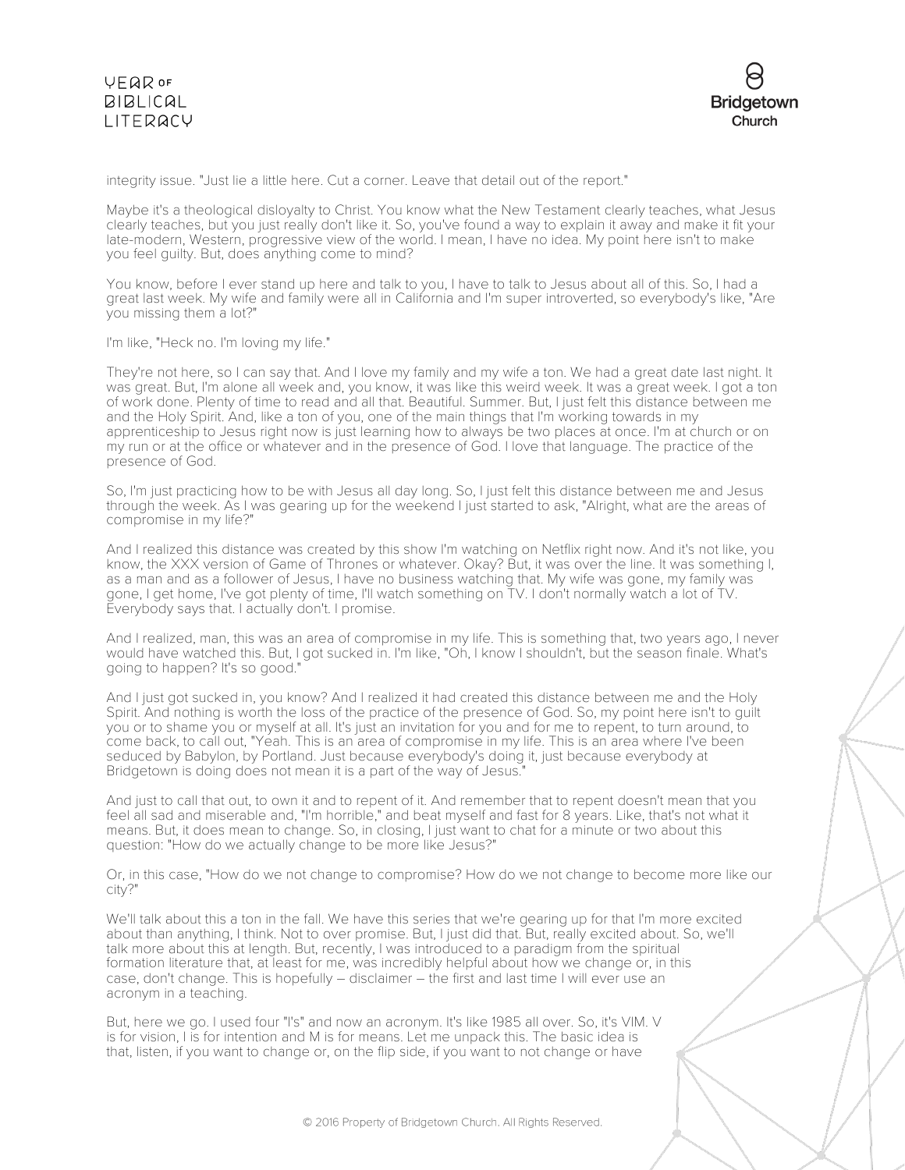# VEQROF **BIBLICAL** LITERACY



integrity issue. "Just lie a little here. Cut a corner. Leave that detail out of the report."

Maybe it's a theological disloyalty to Christ. You know what the New Testament clearly teaches, what Jesus clearly teaches, but you just really don't like it. So, you've found a way to explain it away and make it fit your late-modern, Western, progressive view of the world. I mean, I have no idea. My point here isn't to make you feel guilty. But, does anything come to mind?

You know, before I ever stand up here and talk to you, I have to talk to Jesus about all of this. So, I had a great last week. My wife and family were all in California and I'm super introverted, so everybody's like, "Are you missing them a lot?"

I'm like, "Heck no. I'm loving my life."

They're not here, so I can say that. And I love my family and my wife a ton. We had a great date last night. It was great. But, I'm alone all week and, you know, it was like this weird week. It was a great week. I got a ton of work done. Plenty of time to read and all that. Beautiful. Summer. But, I just felt this distance between me and the Holy Spirit. And, like a ton of you, one of the main things that I'm working towards in my apprenticeship to Jesus right now is just learning how to always be two places at once. I'm at church or on my run or at the office or whatever and in the presence of God. I love that language. The practice of the presence of God.

So, I'm just practicing how to be with Jesus all day long. So, I just felt this distance between me and Jesus through the week. As I was gearing up for the weekend I just started to ask, "Alright, what are the areas of compromise in my life?"

And I realized this distance was created by this show I'm watching on Netflix right now. And it's not like, you know, the XXX version of Game of Thrones or whatever. Okay? But, it was over the line. It was something I, as a man and as a follower of Jesus, I have no business watching that. My wife was gone, my family was gone, I get home, I've got plenty of time, I'll watch something on TV. I don't normally watch a lot of TV. Everybody says that. I actually don't. I promise.

And I realized, man, this was an area of compromise in my life. This is something that, two years ago, I never would have watched this. But, I got sucked in. I'm like, "Oh, I know I shouldn't, but the season finale. What's going to happen? It's so good."

And I just got sucked in, you know? And I realized it had created this distance between me and the Holy Spirit. And nothing is worth the loss of the practice of the presence of God. So, my point here isn't to guilt you or to shame you or myself at all. It's just an invitation for you and for me to repent, to turn around, to come back, to call out, "Yeah. This is an area of compromise in my life. This is an area where I've been seduced by Babylon, by Portland. Just because everybody's doing it, just because everybody at Bridgetown is doing does not mean it is a part of the way of Jesus."

And just to call that out, to own it and to repent of it. And remember that to repent doesn't mean that you feel all sad and miserable and, "I'm horrible," and beat myself and fast for 8 years. Like, that's not what it means. But, it does mean to change. So, in closing, I just want to chat for a minute or two about this question: "How do we actually change to be more like Jesus?"

Or, in this case, "How do we not change to compromise? How do we not change to become more like our city?"

We'll talk about this a ton in the fall. We have this series that we're gearing up for that I'm more excited about than anything, I think. Not to over promise. But, I just did that. But, really excited about. So, we'll talk more about this at length. But, recently, I was introduced to a paradigm from the spiritual formation literature that, at least for me, was incredibly helpful about how we change or, in this case, don't change. This is hopefully – disclaimer – the first and last time I will ever use an acronym in a teaching.

But, here we go. I used four "I's" and now an acronym. It's like 1985 all over. So, it's VIM. V is for vision, I is for intention and M is for means. Let me unpack this. The basic idea is that, listen, if you want to change or, on the flip side, if you want to not change or have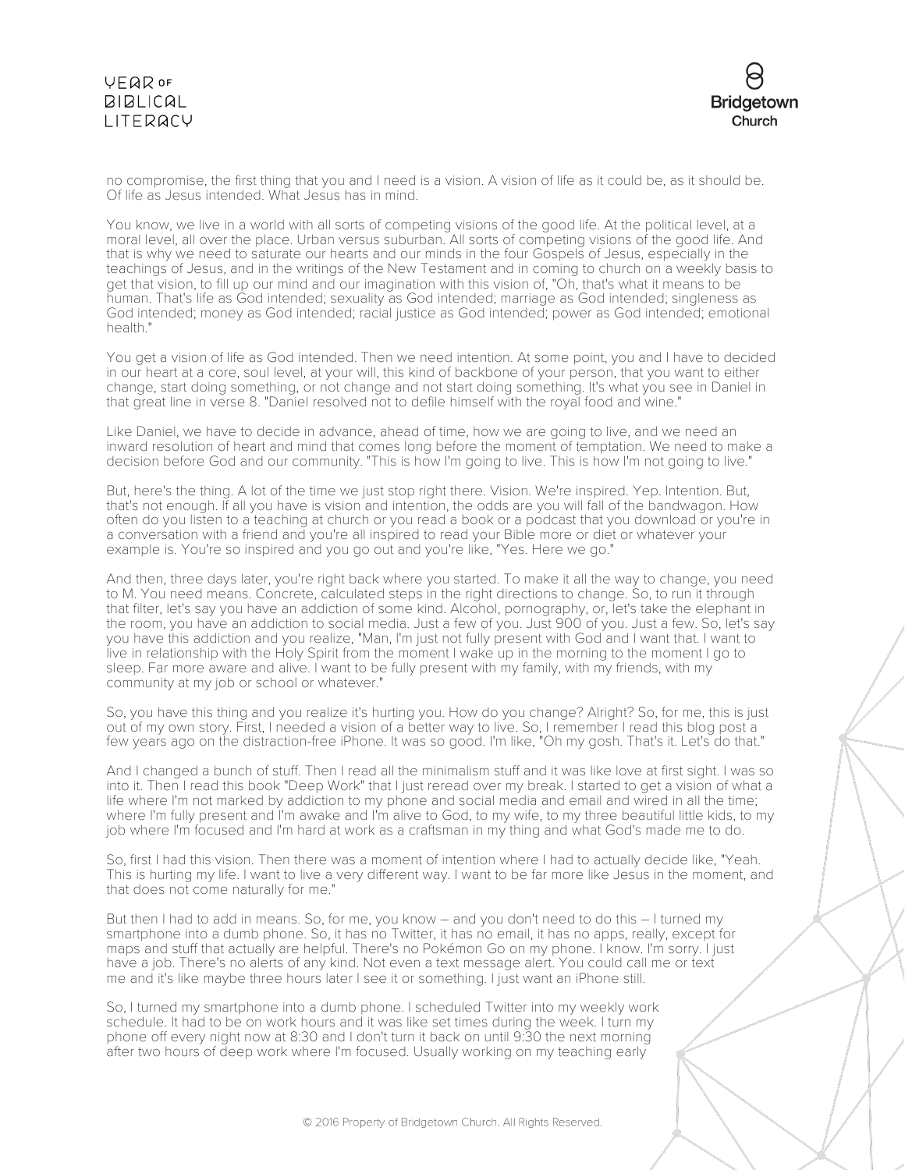# VEQROF **BIBLICAL** LITERACY



no compromise, the first thing that you and I need is a vision. A vision of life as it could be, as it should be. Of life as Jesus intended. What Jesus has in mind.

You know, we live in a world with all sorts of competing visions of the good life. At the political level, at a moral level, all over the place. Urban versus suburban. All sorts of competing visions of the good life. And that is why we need to saturate our hearts and our minds in the four Gospels of Jesus, especially in the teachings of Jesus, and in the writings of the New Testament and in coming to church on a weekly basis to get that vision, to fill up our mind and our imagination with this vision of, "Oh, that's what it means to be human. That's life as God intended; sexuality as God intended; marriage as God intended; singleness as God intended; money as God intended; racial justice as God intended; power as God intended; emotional health."

You get a vision of life as God intended. Then we need intention. At some point, you and I have to decided in our heart at a core, soul level, at your will, this kind of backbone of your person, that you want to either change, start doing something, or not change and not start doing something. It's what you see in Daniel in that great line in verse 8. "Daniel resolved not to defile himself with the royal food and wine."

Like Daniel, we have to decide in advance, ahead of time, how we are going to live, and we need an inward resolution of heart and mind that comes long before the moment of temptation. We need to make a decision before God and our community. "This is how I'm going to live. This is how I'm not going to live."

But, here's the thing. A lot of the time we just stop right there. Vision. We're inspired. Yep. Intention. But, that's not enough. If all you have is vision and intention, the odds are you will fall of the bandwagon. How often do you listen to a teaching at church or you read a book or a podcast that you download or you're in a conversation with a friend and you're all inspired to read your Bible more or diet or whatever your example is. You're so inspired and you go out and you're like, "Yes. Here we go."

And then, three days later, you're right back where you started. To make it all the way to change, you need to M. You need means. Concrete, calculated steps in the right directions to change. So, to run it through that filter, let's say you have an addiction of some kind. Alcohol, pornography, or, let's take the elephant in the room, you have an addiction to social media. Just a few of you. Just 900 of you. Just a few. So, let's say you have this addiction and you realize, "Man, I'm just not fully present with God and I want that. I want to live in relationship with the Holy Spirit from the moment I wake up in the morning to the moment I go to sleep. Far more aware and alive. I want to be fully present with my family, with my friends, with my community at my job or school or whatever."

So, you have this thing and you realize it's hurting you. How do you change? Alright? So, for me, this is just out of my own story. First, I needed a vision of a better way to live. So, I remember I read this blog post a few years ago on the distraction-free iPhone. It was so good. I'm like, "Oh my gosh. That's it. Let's do that."

And I changed a bunch of stuff. Then I read all the minimalism stuff and it was like love at first sight. I was so into it. Then I read this book "Deep Work" that I just reread over my break. I started to get a vision of what a life where I'm not marked by addiction to my phone and social media and email and wired in all the time; where I'm fully present and I'm awake and I'm alive to God, to my wife, to my three beautiful little kids, to my job where I'm focused and I'm hard at work as a craftsman in my thing and what God's made me to do.

So, first I had this vision. Then there was a moment of intention where I had to actually decide like, "Yeah. This is hurting my life. I want to live a very different way. I want to be far more like Jesus in the moment, and that does not come naturally for me."

But then I had to add in means. So, for me, you know – and you don't need to do this – I turned my smartphone into a dumb phone. So, it has no Twitter, it has no email, it has no apps, really, except for maps and stuff that actually are helpful. There's no Pokémon Go on my phone. I know. I'm sorry. I just have a job. There's no alerts of any kind. Not even a text message alert. You could call me or text me and it's like maybe three hours later I see it or something. I just want an iPhone still.

So, I turned my smartphone into a dumb phone. I scheduled Twitter into my weekly work schedule. It had to be on work hours and it was like set times during the week. I turn my phone off every night now at 8:30 and I don't turn it back on until 9:30 the next morning after two hours of deep work where I'm focused. Usually working on my teaching early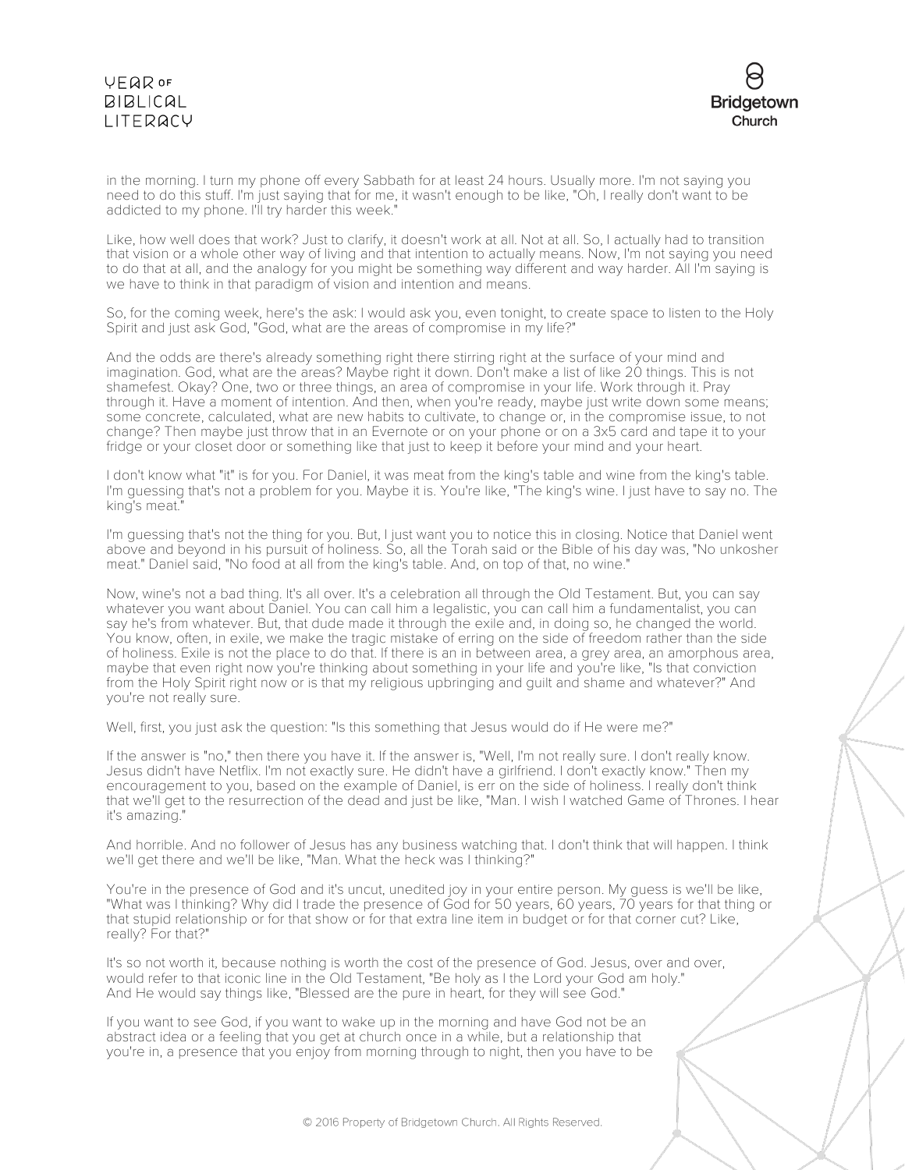# VEQROF **BIBLICAL** LITERACY



in the morning. I turn my phone off every Sabbath for at least 24 hours. Usually more. I'm not saying you need to do this stuff. I'm just saying that for me, it wasn't enough to be like, "Oh, I really don't want to be addicted to my phone. I'll try harder this week."

Like, how well does that work? Just to clarify, it doesn't work at all. Not at all. So, I actually had to transition that vision or a whole other way of living and that intention to actually means. Now, I'm not saying you need to do that at all, and the analogy for you might be something way different and way harder. All I'm saying is we have to think in that paradigm of vision and intention and means.

So, for the coming week, here's the ask: I would ask you, even tonight, to create space to listen to the Holy Spirit and just ask God, "God, what are the areas of compromise in my life?"

And the odds are there's already something right there stirring right at the surface of your mind and imagination. God, what are the areas? Maybe right it down. Don't make a list of like 20 things. This is not shamefest. Okay? One, two or three things, an area of compromise in your life. Work through it. Pray through it. Have a moment of intention. And then, when you're ready, maybe just write down some means; some concrete, calculated, what are new habits to cultivate, to change or, in the compromise issue, to not change? Then maybe just throw that in an Evernote or on your phone or on a 3x5 card and tape it to your fridge or your closet door or something like that just to keep it before your mind and your heart.

I don't know what "it" is for you. For Daniel, it was meat from the king's table and wine from the king's table. I'm guessing that's not a problem for you. Maybe it is. You're like, "The king's wine. I just have to say no. The king's meat.

I'm guessing that's not the thing for you. But, I just want you to notice this in closing. Notice that Daniel went above and beyond in his pursuit of holiness. So, all the Torah said or the Bible of his day was, "No unkosher meat." Daniel said, "No food at all from the king's table. And, on top of that, no wine."

Now, wine's not a bad thing. It's all over. It's a celebration all through the Old Testament. But, you can say whatever you want about Daniel. You can call him a legalistic, you can call him a fundamentalist, you can say he's from whatever. But, that dude made it through the exile and, in doing so, he changed the world. You know, often, in exile, we make the tragic mistake of erring on the side of freedom rather than the side of holiness. Exile is not the place to do that. If there is an in between area, a grey area, an amorphous area, maybe that even right now you're thinking about something in your life and you're like, "Is that conviction from the Holy Spirit right now or is that my religious upbringing and guilt and shame and whatever?" And you're not really sure.

Well, first, you just ask the question: "Is this something that Jesus would do if He were me?"

If the answer is "no," then there you have it. If the answer is, "Well, I'm not really sure. I don't really know. Jesus didn't have Netflix. I'm not exactly sure. He didn't have a girlfriend. I don't exactly know." Then my encouragement to you, based on the example of Daniel, is err on the side of holiness. I really don't think that we'll get to the resurrection of the dead and just be like, "Man. I wish I watched Game of Thrones. I hear it's amazing."

And horrible. And no follower of Jesus has any business watching that. I don't think that will happen. I think we'll get there and we'll be like, "Man. What the heck was I thinking?"

You're in the presence of God and it's uncut, unedited joy in your entire person. My guess is we'll be like, "What was I thinking? Why did I trade the presence of God for 50 years, 60 years, 70 years for that thing or that stupid relationship or for that show or for that extra line item in budget or for that corner cut? Like, really? For that?"

It's so not worth it, because nothing is worth the cost of the presence of God. Jesus, over and over, would refer to that iconic line in the Old Testament, "Be holy as I the Lord your God am holy." And He would say things like, "Blessed are the pure in heart, for they will see God."

If you want to see God, if you want to wake up in the morning and have God not be an abstract idea or a feeling that you get at church once in a while, but a relationship that you're in, a presence that you enjoy from morning through to night, then you have to be